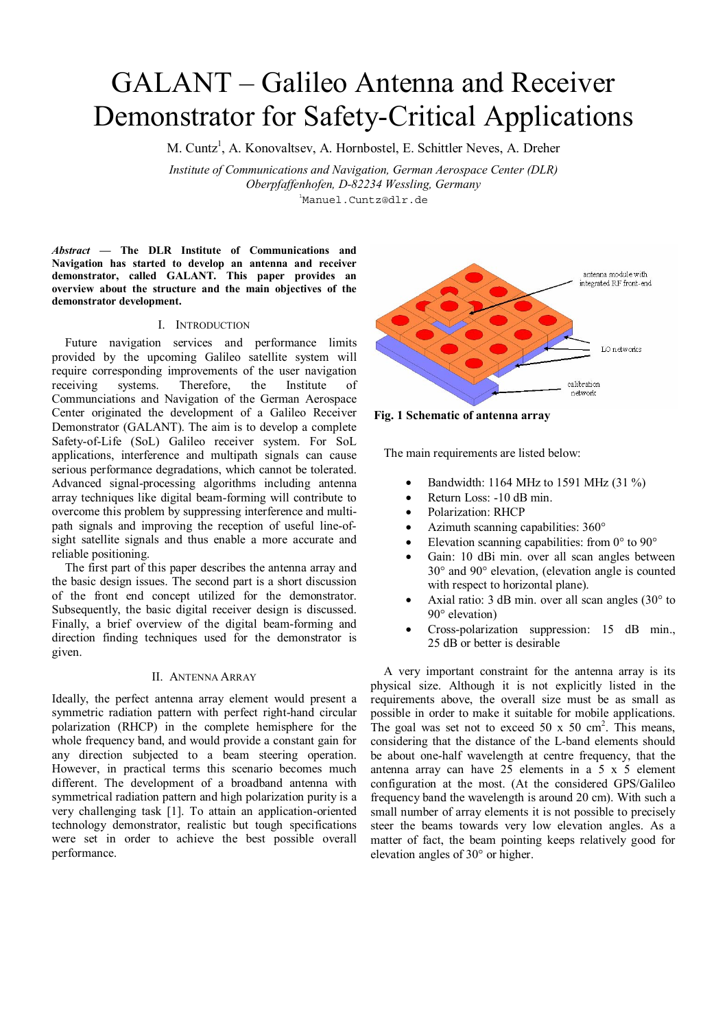# GALANT – Galileo Antenna and Receiver Demonstrator for Safety-Critical Applications

M. Cuntz<sup>1</sup>, A. Konovaltsev, A. Hornbostel, E. Schittler Neves, A. Dreher

*Institute of Communications and Navigation, German Aerospace Center (DLR) Oberpfaffenhofen, D-82234 Wessling, Germany* 1 Manuel.Cuntz@dlr.de

*Abstract —* **The DLR Institute of Communications and Navigation has started to develop an antenna and receiver demonstrator, called GALANT. This paper provides an overview about the structure and the main objectives of the demonstrator development.** 

## I. INTRODUCTION

Future navigation services and performance limits provided by the upcoming Galileo satellite system will require corresponding improvements of the user navigation receiving systems. Therefore, the Institute of Communciations and Navigation of the German Aerospace Center originated the development of a Galileo Receiver Demonstrator (GALANT). The aim is to develop a complete Safety-of-Life (SoL) Galileo receiver system. For SoL applications, interference and multipath signals can cause serious performance degradations, which cannot be tolerated. Advanced signal-processing algorithms including antenna array techniques like digital beam-forming will contribute to overcome this problem by suppressing interference and multipath signals and improving the reception of useful line-ofsight satellite signals and thus enable a more accurate and reliable positioning.

The first part of this paper describes the antenna array and the basic design issues. The second part is a short discussion of the front end concept utilized for the demonstrator. Subsequently, the basic digital receiver design is discussed. Finally, a brief overview of the digital beam-forming and direction finding techniques used for the demonstrator is given.

## II. ANTENNA ARRAY

Ideally, the perfect antenna array element would present a symmetric radiation pattern with perfect right-hand circular polarization (RHCP) in the complete hemisphere for the whole frequency band, and would provide a constant gain for any direction subjected to a beam steering operation. However, in practical terms this scenario becomes much different. The development of a broadband antenna with symmetrical radiation pattern and high polarization purity is a very challenging task [1]. To attain an application-oriented technology demonstrator, realistic but tough specifications were set in order to achieve the best possible overall performance.





The main requirements are listed below:

- Bandwidth: 1164 MHz to 1591 MHz (31 %)
- Return Loss: -10 dB min.
- Polarization: RHCP
- Azimuth scanning capabilities: 360°
- Elevation scanning capabilities: from  $0^{\circ}$  to  $90^{\circ}$
- Gain: 10 dBi min. over all scan angles between 30° and 90° elevation, (elevation angle is counted with respect to horizontal plane).
- Axial ratio:  $3$  dB min. over all scan angles  $(30^{\circ}$  to 90° elevation)
- Cross-polarization suppression: 15 dB min., 25 dB or better is desirable

A very important constraint for the antenna array is its physical size. Although it is not explicitly listed in the requirements above, the overall size must be as small as possible in order to make it suitable for mobile applications. The goal was set not to exceed 50 x 50 cm<sup>2</sup>. This means, considering that the distance of the L-band elements should be about one-half wavelength at centre frequency, that the antenna array can have 25 elements in a 5 x 5 element configuration at the most. (At the considered GPS/Galileo frequency band the wavelength is around 20 cm). With such a small number of array elements it is not possible to precisely steer the beams towards very low elevation angles. As a matter of fact, the beam pointing keeps relatively good for elevation angles of 30° or higher.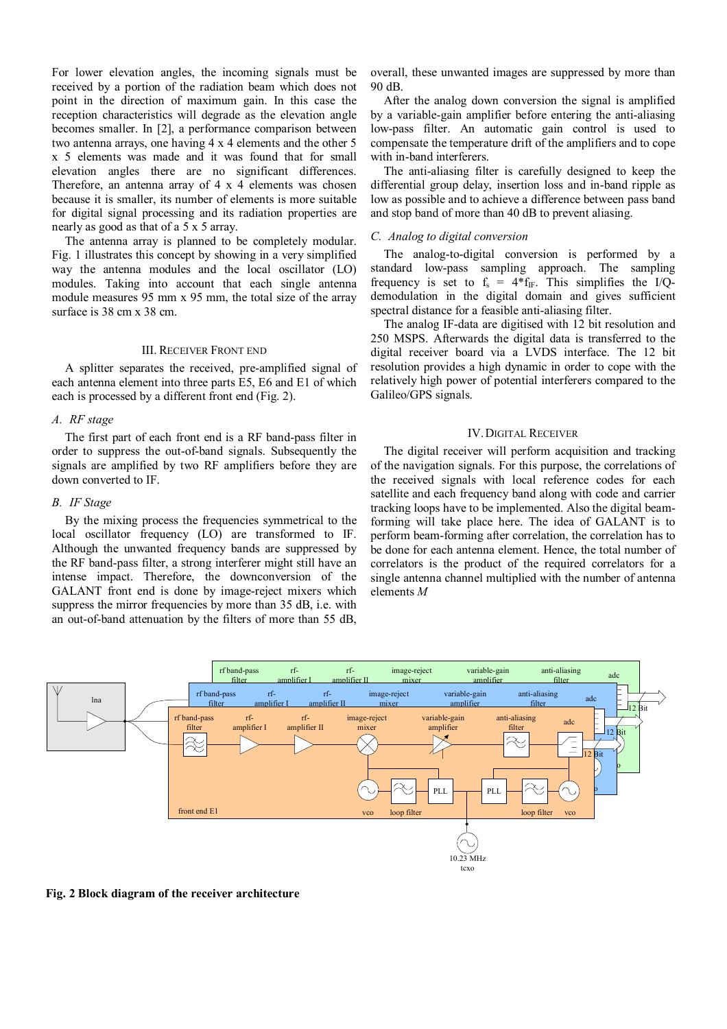For lower elevation angles, the incoming signals must be received by a portion of the radiation beam which does not point in the direction of maximum gain. In this case the reception characteristics will degrade as the elevation angle becomes smaller. In [2], a performance comparison between two antenna arrays, one having 4 x 4 elements and the other 5 x 5 elements was made and it was found that for small elevation angles there are no significant differences. Therefore, an antenna array of 4 x 4 elements was chosen because it is smaller, its number of elements is more suitable for digital signal processing and its radiation properties are nearly as good as that of a 5 x 5 array.

The antenna array is planned to be completely modular. Fig. 1 illustrates this concept by showing in a very simplified way the antenna modules and the local oscillator (LO) modules. Taking into account that each single antenna module measures 95 mm x 95 mm, the total size of the array surface is 38 cm x 38 cm.

### III. RECEIVER FRONT END

A splitter separates the received, pre-amplified signal of each antenna element into three parts E5, E6 and E1 of which each is processed by a different front end (Fig. 2).

## *A. RF stage*

The first part of each front end is a RF band-pass filter in order to suppress the out-of-band signals. Subsequently the signals are amplified by two RF amplifiers before they are down converted to IF.

### *B. IF Stage*

By the mixing process the frequencies symmetrical to the local oscillator frequency (LO) are transformed to IF. Although the unwanted frequency bands are suppressed by the RF band-pass filter, a strong interferer might still have an intense impact. Therefore, the downconversion of the GALANT front end is done by image-reject mixers which suppress the mirror frequencies by more than 35 dB, i.e. with an out-of-band attenuation by the filters of more than 55 dB, overall, these unwanted images are suppressed by more than 90 dB.

After the analog down conversion the signal is amplified by a variable-gain amplifier before entering the anti-aliasing low-pass filter. An automatic gain control is used to compensate the temperature drift of the amplifiers and to cope with in-band interferers.

The anti-aliasing filter is carefully designed to keep the differential group delay, insertion loss and in-band ripple as low as possible and to achieve a difference between pass band and stop band of more than 40 dB to prevent aliasing.

## *C. Analog to digital conversion*

The analog-to-digital conversion is performed by a standard low-pass sampling approach. The sampling frequency is set to  $f_s = 4*f_{IF}$ . This simplifies the I/Qdemodulation in the digital domain and gives sufficient spectral distance for a feasible anti-aliasing filter.

The analog IF-data are digitised with 12 bit resolution and 250 MSPS. Afterwards the digital data is transferred to the digital receiver board via a LVDS interface. The 12 bit resolution provides a high dynamic in order to cope with the relatively high power of potential interferers compared to the Galileo/GPS signals.

## IV.DIGITAL RECEIVER

The digital receiver will perform acquisition and tracking of the navigation signals. For this purpose, the correlations of the received signals with local reference codes for each satellite and each frequency band along with code and carrier tracking loops have to be implemented. Also the digital beamforming will take place here. The idea of GALANT is to perform beam-forming after correlation, the correlation has to be done for each antenna element. Hence, the total number of correlators is the product of the required correlators for a single antenna channel multiplied with the number of antenna elements *M*



**Fig. 2 Block diagram of the receiver architecture**